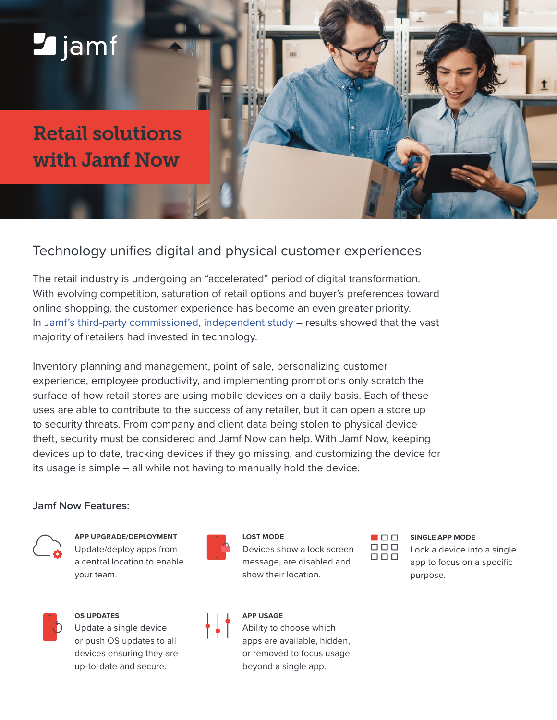# **Z**jamf

## Retail solutions with Jamf Now

### Technology unifies digital and physical customer experiences

The retail industry is undergoing an "accelerated" period of digital transformation. With evolving competition, saturation of retail options and buyer's preferences toward online shopping, the customer experience has become an even greater priority. In [Jamf's third-party commissioned, independent study](https://resources.jamf.com/documents/books/technology-in-retail.pdf) – results showed that the vast majority of retailers had invested in technology.

Inventory planning and management, point of sale, personalizing customer experience, employee productivity, and implementing promotions only scratch the surface of how retail stores are using mobile devices on a daily basis. Each of these uses are able to contribute to the success of any retailer, but it can open a store up to security threats. From company and client data being stolen to physical device theft, security must be considered and Jamf Now can help. With Jamf Now, keeping devices up to date, tracking devices if they go missing, and customizing the device for its usage is simple – all while not having to manually hold the device.

#### **Jamf Now Features:**



**APP UPGRADE/DEPLOYMENT**

Update/deploy apps from a central location to enable your team.



**LOST MODE**

Devices show a lock screen message, are disabled and show their location.



**SINGLE APP MODE**

Lock a device into a single app to focus on a specific purpose.



#### **OS UPDATES**

Update a single device or push OS updates to all devices ensuring they are up-to-date and secure.



#### **APP USAGE**

Ability to choose which apps are available, hidden, or removed to focus usage beyond a single app.